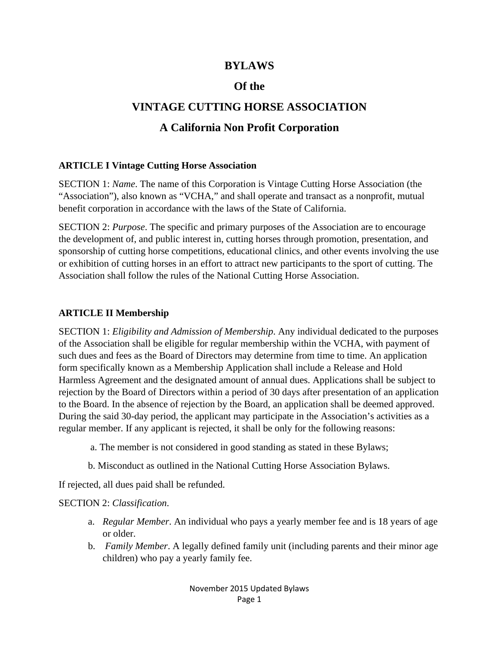### **BYLAWS**

### **Of the**

# **VINTAGE CUTTING HORSE ASSOCIATION**

## **A California Non Profit Corporation**

#### **ARTICLE I Vintage Cutting Horse Association**

SECTION 1: *Name*. The name of this Corporation is Vintage Cutting Horse Association (the "Association"), also known as "VCHA," and shall operate and transact as a nonprofit, mutual benefit corporation in accordance with the laws of the State of California.

SECTION 2: *Purpose*. The specific and primary purposes of the Association are to encourage the development of, and public interest in, cutting horses through promotion, presentation, and sponsorship of cutting horse competitions, educational clinics, and other events involving the use or exhibition of cutting horses in an effort to attract new participants to the sport of cutting. The Association shall follow the rules of the National Cutting Horse Association.

#### **ARTICLE II Membership**

SECTION 1: *Eligibility and Admission of Membership*. Any individual dedicated to the purposes of the Association shall be eligible for regular membership within the VCHA, with payment of such dues and fees as the Board of Directors may determine from time to time. An application form specifically known as a Membership Application shall include a Release and Hold Harmless Agreement and the designated amount of annual dues. Applications shall be subject to rejection by the Board of Directors within a period of 30 days after presentation of an application to the Board. In the absence of rejection by the Board, an application shall be deemed approved. During the said 30-day period, the applicant may participate in the Association's activities as a regular member. If any applicant is rejected, it shall be only for the following reasons:

- a. The member is not considered in good standing as stated in these Bylaws;
- b. Misconduct as outlined in the National Cutting Horse Association Bylaws.

If rejected, all dues paid shall be refunded.

#### SECTION 2: *Classification*.

- a. *Regular Member*. An individual who pays a yearly member fee and is 18 years of age or older.
- b. *Family Member*. A legally defined family unit (including parents and their minor age children) who pay a yearly family fee.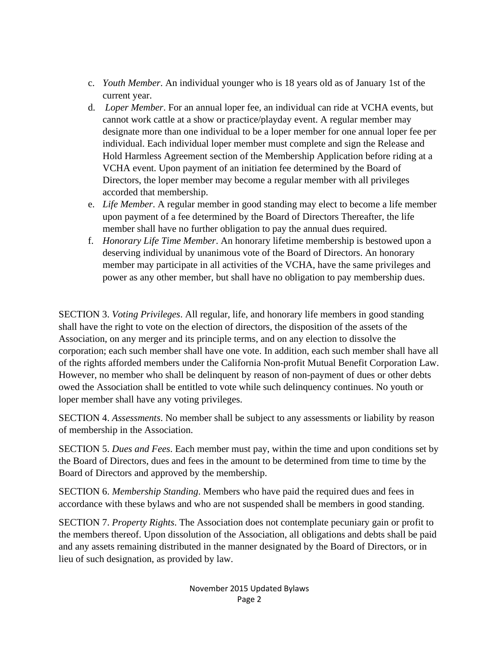- c. *Youth Member*. An individual younger who is 18 years old as of January 1st of the current year.
- d. *Loper Member*. For an annual loper fee, an individual can ride at VCHA events, but cannot work cattle at a show or practice/playday event. A regular member may designate more than one individual to be a loper member for one annual loper fee per individual. Each individual loper member must complete and sign the Release and Hold Harmless Agreement section of the Membership Application before riding at a VCHA event. Upon payment of an initiation fee determined by the Board of Directors, the loper member may become a regular member with all privileges accorded that membership.
- e. *Life Member*. A regular member in good standing may elect to become a life member upon payment of a fee determined by the Board of Directors Thereafter, the life member shall have no further obligation to pay the annual dues required.
- f. *Honorary Life Time Member*. An honorary lifetime membership is bestowed upon a deserving individual by unanimous vote of the Board of Directors. An honorary member may participate in all activities of the VCHA, have the same privileges and power as any other member, but shall have no obligation to pay membership dues.

SECTION 3. *Voting Privileges*. All regular, life, and honorary life members in good standing shall have the right to vote on the election of directors, the disposition of the assets of the Association, on any merger and its principle terms, and on any election to dissolve the corporation; each such member shall have one vote. In addition, each such member shall have all of the rights afforded members under the California Non-profit Mutual Benefit Corporation Law. However, no member who shall be delinquent by reason of non-payment of dues or other debts owed the Association shall be entitled to vote while such delinquency continues. No youth or loper member shall have any voting privileges.

SECTION 4. *Assessments*. No member shall be subject to any assessments or liability by reason of membership in the Association.

SECTION 5. *Dues and Fees*. Each member must pay, within the time and upon conditions set by the Board of Directors, dues and fees in the amount to be determined from time to time by the Board of Directors and approved by the membership.

SECTION 6. *Membership Standing*. Members who have paid the required dues and fees in accordance with these bylaws and who are not suspended shall be members in good standing.

SECTION 7. *Property Rights*. The Association does not contemplate pecuniary gain or profit to the members thereof. Upon dissolution of the Association, all obligations and debts shall be paid and any assets remaining distributed in the manner designated by the Board of Directors, or in lieu of such designation, as provided by law.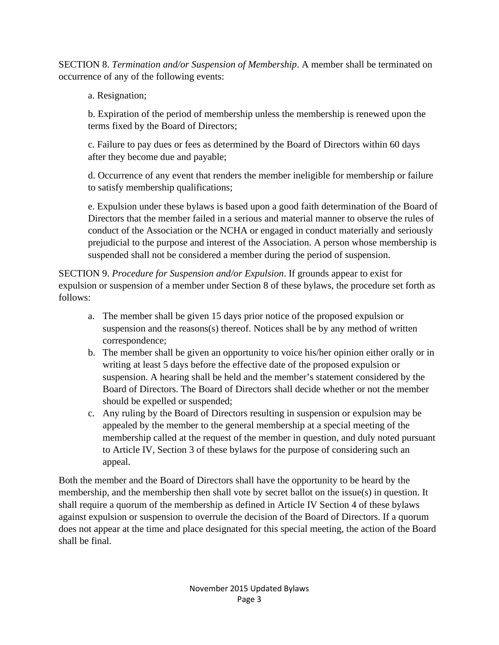SECTION 8. *Termination and/or Suspension of Membership*. A member shall be terminated on occurrence of any of the following events:

a. Resignation;

b. Expiration of the period of membership unless the membership is renewed upon the terms fixed by the Board of Directors;

c. Failure to pay dues or fees as determined by the Board of Directors within 60 days after they become due and payable;

d. Occurrence of any event that renders the member ineligible for membership or failure to satisfy membership qualifications;

e. Expulsion under these bylaws is based upon a good faith determination of the Board of Directors that the member failed in a serious and material manner to observe the rules of conduct of the Association or the NCHA or engaged in conduct materially and seriously prejudicial to the purpose and interest of the Association. A person whose membership is suspended shall not be considered a member during the period of suspension.

SECTION 9. *Procedure for Suspension and/or Expulsion*. If grounds appear to exist for expulsion or suspension of a member under Section 8 of these bylaws, the procedure set forth as follows:

- a. The member shall be given 15 days prior notice of the proposed expulsion or suspension and the reasons $(s)$  thereof. Notices shall be by any method of written correspondence;
- b. The member shall be given an opportunity to voice his/her opinion either orally or in writing at least 5 days before the effective date of the proposed expulsion or suspension. A hearing shall be held and the member's statement considered by the Board of Directors. The Board of Directors shall decide whether or not the member should be expelled or suspended;
- c. Any ruling by the Board of Directors resulting in suspension or expulsion may be appealed by the member to the general membership at a special meeting of the membership called at the request of the member in question, and duly noted pursuant to Article IV, Section 3 of these bylaws for the purpose of considering such an appeal.

Both the member and the Board of Directors shall have the opportunity to be heard by the membership, and the membership then shall vote by secret ballot on the issue(s) in question. It shall require a quorum of the membership as defined in Article IV Section 4 of these bylaws against expulsion or suspension to overrule the decision of the Board of Directors. If a quorum does not appear at the time and place designated for this special meeting, the action of the Board shall be final.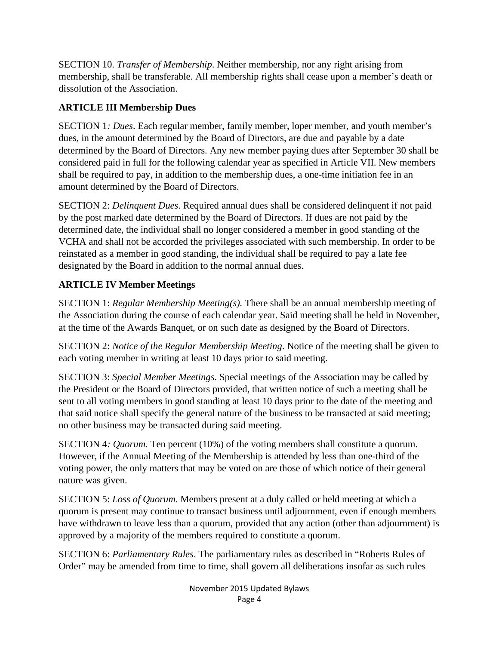SECTION 10. *Transfer of Membership*. Neither membership, nor any right arising from membership, shall be transferable. All membership rights shall cease upon a member's death or dissolution of the Association.

### **ARTICLE III Membership Dues**

SECTION 1*: Dues*. Each regular member, family member, loper member, and youth member's dues, in the amount determined by the Board of Directors, are due and payable by a date determined by the Board of Directors. Any new member paying dues after September 30 shall be considered paid in full for the following calendar year as specified in Article VII. New members shall be required to pay, in addition to the membership dues, a one-time initiation fee in an amount determined by the Board of Directors.

SECTION 2: *Delinquent Dues*. Required annual dues shall be considered delinquent if not paid by the post marked date determined by the Board of Directors. If dues are not paid by the determined date, the individual shall no longer considered a member in good standing of the VCHA and shall not be accorded the privileges associated with such membership. In order to be reinstated as a member in good standing, the individual shall be required to pay a late fee designated by the Board in addition to the normal annual dues.

## **ARTICLE IV Member Meetings**

SECTION 1: *Regular Membership Meeting(s).* There shall be an annual membership meeting of the Association during the course of each calendar year. Said meeting shall be held in November, at the time of the Awards Banquet, or on such date as designed by the Board of Directors.

SECTION 2: *Notice of the Regular Membership Meeting*. Notice of the meeting shall be given to each voting member in writing at least 10 days prior to said meeting.

SECTION 3: *Special Member Meetings*. Special meetings of the Association may be called by the President or the Board of Directors provided, that written notice of such a meeting shall be sent to all voting members in good standing at least 10 days prior to the date of the meeting and that said notice shall specify the general nature of the business to be transacted at said meeting; no other business may be transacted during said meeting.

SECTION 4*: Quorum*. Ten percent (10%) of the voting members shall constitute a quorum. However, if the Annual Meeting of the Membership is attended by less than one-third of the voting power, the only matters that may be voted on are those of which notice of their general nature was given.

SECTION 5: *Loss of Quorum*. Members present at a duly called or held meeting at which a quorum is present may continue to transact business until adjournment, even if enough members have withdrawn to leave less than a quorum, provided that any action (other than adjournment) is approved by a majority of the members required to constitute a quorum.

SECTION 6: *Parliamentary Rules*. The parliamentary rules as described in "Roberts Rules of Order" may be amended from time to time, shall govern all deliberations insofar as such rules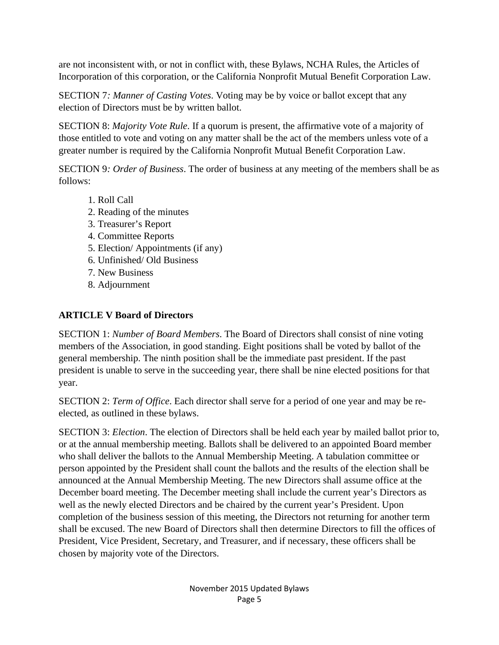are not inconsistent with, or not in conflict with, these Bylaws, NCHA Rules, the Articles of Incorporation of this corporation, or the California Nonprofit Mutual Benefit Corporation Law.

SECTION 7*: Manner of Casting Votes*. Voting may be by voice or ballot except that any election of Directors must be by written ballot.

SECTION 8: *Majority Vote Rule*. If a quorum is present, the affirmative vote of a majority of those entitled to vote and voting on any matter shall be the act of the members unless vote of a greater number is required by the California Nonprofit Mutual Benefit Corporation Law.

SECTION 9*: Order of Business*. The order of business at any meeting of the members shall be as follows:

- 1. Roll Call
- 2. Reading of the minutes
- 3. Treasurer's Report
- 4. Committee Reports
- 5. Election/ Appointments (if any)
- 6. Unfinished/ Old Business
- 7. New Business
- 8. Adjournment

## **ARTICLE V Board of Directors**

SECTION 1: *Number of Board Members*. The Board of Directors shall consist of nine voting members of the Association, in good standing. Eight positions shall be voted by ballot of the general membership. The ninth position shall be the immediate past president. If the past president is unable to serve in the succeeding year, there shall be nine elected positions for that year.

SECTION 2: *Term of Office*. Each director shall serve for a period of one year and may be reelected, as outlined in these bylaws.

SECTION 3: *Election*. The election of Directors shall be held each year by mailed ballot prior to, or at the annual membership meeting. Ballots shall be delivered to an appointed Board member who shall deliver the ballots to the Annual Membership Meeting. A tabulation committee or person appointed by the President shall count the ballots and the results of the election shall be announced at the Annual Membership Meeting. The new Directors shall assume office at the December board meeting. The December meeting shall include the current year's Directors as well as the newly elected Directors and be chaired by the current year's President. Upon completion of the business session of this meeting, the Directors not returning for another term shall be excused. The new Board of Directors shall then determine Directors to fill the offices of President, Vice President, Secretary, and Treasurer, and if necessary, these officers shall be chosen by majority vote of the Directors.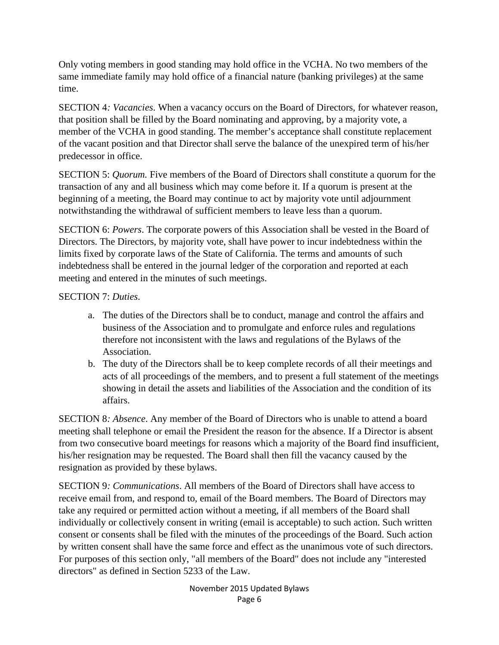Only voting members in good standing may hold office in the VCHA. No two members of the same immediate family may hold office of a financial nature (banking privileges) at the same time.

SECTION 4*: Vacancies*. When a vacancy occurs on the Board of Directors, for whatever reason, that position shall be filled by the Board nominating and approving, by a majority vote, a member of the VCHA in good standing. The member's acceptance shall constitute replacement of the vacant position and that Director shall serve the balance of the unexpired term of his/her predecessor in office.

SECTION 5: *Quorum.* Five members of the Board of Directors shall constitute a quorum for the transaction of any and all business which may come before it. If a quorum is present at the beginning of a meeting, the Board may continue to act by majority vote until adjournment notwithstanding the withdrawal of sufficient members to leave less than a quorum.

SECTION 6: *Powers*. The corporate powers of this Association shall be vested in the Board of Directors. The Directors, by majority vote, shall have power to incur indebtedness within the limits fixed by corporate laws of the State of California. The terms and amounts of such indebtedness shall be entered in the journal ledger of the corporation and reported at each meeting and entered in the minutes of such meetings.

#### SECTION 7: *Duties*.

- a. The duties of the Directors shall be to conduct, manage and control the affairs and business of the Association and to promulgate and enforce rules and regulations therefore not inconsistent with the laws and regulations of the Bylaws of the Association.
- b. The duty of the Directors shall be to keep complete records of all their meetings and acts of all proceedings of the members, and to present a full statement of the meetings showing in detail the assets and liabilities of the Association and the condition of its affairs.

SECTION 8*: Absence*. Any member of the Board of Directors who is unable to attend a board meeting shall telephone or email the President the reason for the absence. If a Director is absent from two consecutive board meetings for reasons which a majority of the Board find insufficient, his/her resignation may be requested. The Board shall then fill the vacancy caused by the resignation as provided by these bylaws.

SECTION 9*: Communications*. All members of the Board of Directors shall have access to receive email from, and respond to, email of the Board members. The Board of Directors may take any required or permitted action without a meeting, if all members of the Board shall individually or collectively consent in writing (email is acceptable) to such action. Such written consent or consents shall be filed with the minutes of the proceedings of the Board. Such action by written consent shall have the same force and effect as the unanimous vote of such directors. For purposes of this section only, "all members of the Board" does not include any "interested directors" as defined in Section 5233 of the Law.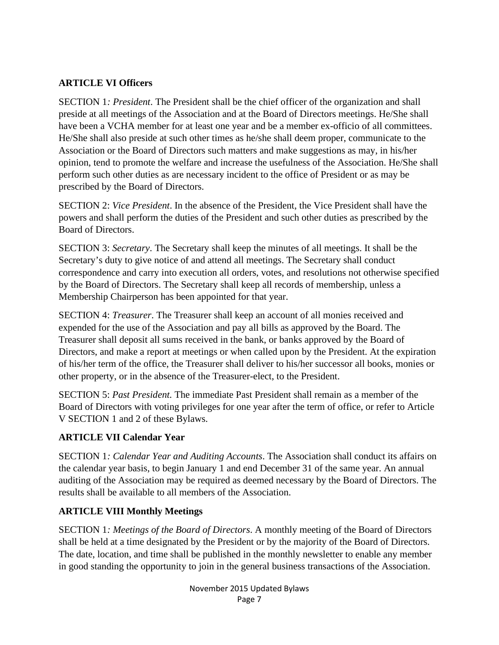### **ARTICLE VI Officers**

SECTION 1*: President*. The President shall be the chief officer of the organization and shall preside at all meetings of the Association and at the Board of Directors meetings. He/She shall have been a VCHA member for at least one year and be a member ex-officio of all committees. He/She shall also preside at such other times as he/she shall deem proper, communicate to the Association or the Board of Directors such matters and make suggestions as may, in his/her opinion, tend to promote the welfare and increase the usefulness of the Association. He/She shall perform such other duties as are necessary incident to the office of President or as may be prescribed by the Board of Directors.

SECTION 2: *Vice President*. In the absence of the President, the Vice President shall have the powers and shall perform the duties of the President and such other duties as prescribed by the Board of Directors.

SECTION 3: *Secretary*. The Secretary shall keep the minutes of all meetings. It shall be the Secretary's duty to give notice of and attend all meetings. The Secretary shall conduct correspondence and carry into execution all orders, votes, and resolutions not otherwise specified by the Board of Directors. The Secretary shall keep all records of membership, unless a Membership Chairperson has been appointed for that year.

SECTION 4: *Treasurer*. The Treasurer shall keep an account of all monies received and expended for the use of the Association and pay all bills as approved by the Board. The Treasurer shall deposit all sums received in the bank, or banks approved by the Board of Directors, and make a report at meetings or when called upon by the President. At the expiration of his/her term of the office, the Treasurer shall deliver to his/her successor all books, monies or other property, or in the absence of the Treasurer-elect, to the President.

SECTION 5: *Past President.* The immediate Past President shall remain as a member of the Board of Directors with voting privileges for one year after the term of office, or refer to Article V SECTION 1 and 2 of these Bylaws.

## **ARTICLE VII Calendar Year**

SECTION 1*: Calendar Year and Auditing Accounts*. The Association shall conduct its affairs on the calendar year basis, to begin January 1 and end December 31 of the same year. An annual auditing of the Association may be required as deemed necessary by the Board of Directors. The results shall be available to all members of the Association.

## **ARTICLE VIII Monthly Meetings**

SECTION 1*: Meetings of the Board of Directors*. A monthly meeting of the Board of Directors shall be held at a time designated by the President or by the majority of the Board of Directors. The date, location, and time shall be published in the monthly newsletter to enable any member in good standing the opportunity to join in the general business transactions of the Association.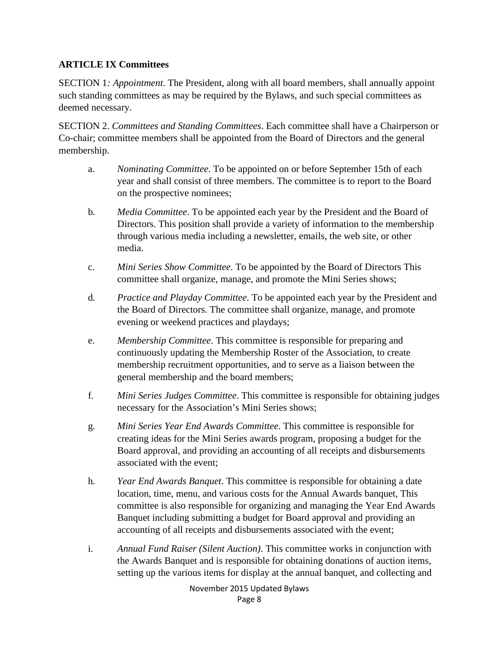### **ARTICLE IX Committees**

SECTION 1*: Appointment*. The President, along with all board members, shall annually appoint such standing committees as may be required by the Bylaws, and such special committees as deemed necessary.

SECTION 2. *Committees and Standing Committees*. Each committee shall have a Chairperson or Co-chair; committee members shall be appointed from the Board of Directors and the general membership.

- a. *Nominating Committee*. To be appointed on or before September 15th of each year and shall consist of three members. The committee is to report to the Board on the prospective nominees;
- b*. Media Committee*. To be appointed each year by the President and the Board of Directors. This position shall provide a variety of information to the membership through various media including a newsletter, emails, the web site, or other media.
- c. *Mini Series Show Committee*. To be appointed by the Board of Directors This committee shall organize, manage, and promote the Mini Series shows;
- d*. Practice and Playday Committee*. To be appointed each year by the President and the Board of Directors. The committee shall organize, manage, and promote evening or weekend practices and playdays;
- e. *Membership Committee*. This committee is responsible for preparing and continuously updating the Membership Roster of the Association, to create membership recruitment opportunities, and to serve as a liaison between the general membership and the board members;
- f. *Mini Series Judges Committee*. This committee is responsible for obtaining judges necessary for the Association's Mini Series shows;
- g*. Mini Series Year End Awards Committee*. This committee is responsible for creating ideas for the Mini Series awards program, proposing a budget for the Board approval, and providing an accounting of all receipts and disbursements associated with the event;
- h*. Year End Awards Banquet*. This committee is responsible for obtaining a date location, time, menu, and various costs for the Annual Awards banquet, This committee is also responsible for organizing and managing the Year End Awards Banquet including submitting a budget for Board approval and providing an accounting of all receipts and disbursements associated with the event;
- i. *Annual Fund Raiser (Silent Auction)*. This committee works in conjunction with the Awards Banquet and is responsible for obtaining donations of auction items, setting up the various items for display at the annual banquet, and collecting and